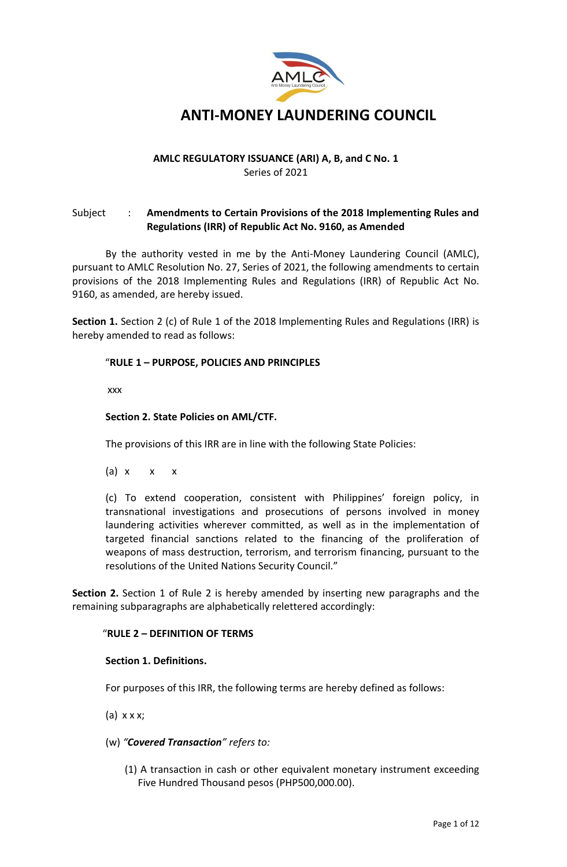

# **ANTI-MONEY LAUNDERING COUNCIL**

# **AMLC REGULATORY ISSUANCE (ARI) A, B, and C No. 1** Series of 2021

# Subject : **Amendments to Certain Provisions of the 2018 Implementing Rules and Regulations (IRR) of Republic Act No. 9160, as Amended**

By the authority vested in me by the Anti-Money Laundering Council (AMLC), pursuant to AMLC Resolution No. 27, Series of 2021, the following amendments to certain provisions of the 2018 Implementing Rules and Regulations (IRR) of Republic Act No. 9160, as amended, are hereby issued.

**Section 1.** Section 2 (c) of Rule 1 of the 2018 Implementing Rules and Regulations (IRR) is hereby amended to read as follows:

# "**RULE 1 – PURPOSE, POLICIES AND PRINCIPLES**

xxx

## **Section 2. State Policies on AML/CTF.**

The provisions of this IRR are in line with the following State Policies:

(a)  $x \times x$ 

(c) To extend cooperation, consistent with Philippines' foreign policy, in transnational investigations and prosecutions of persons involved in money laundering activities wherever committed, as well as in the implementation of targeted financial sanctions related to the financing of the proliferation of weapons of mass destruction, terrorism, and terrorism financing, pursuant to the resolutions of the United Nations Security Council."

**Section 2.** Section 1 of Rule 2 is hereby amended by inserting new paragraphs and the remaining subparagraphs are alphabetically relettered accordingly:

#### "**RULE 2 – DEFINITION OF TERMS**

#### **Section 1. Definitions.**

For purposes of this IRR, the following terms are hereby defined as follows:

(a) x x x;

- (w) *"Covered Transaction" refers to:*
	- (1) A transaction in cash or other equivalent monetary instrument exceeding Five Hundred Thousand pesos (PHP500,000.00).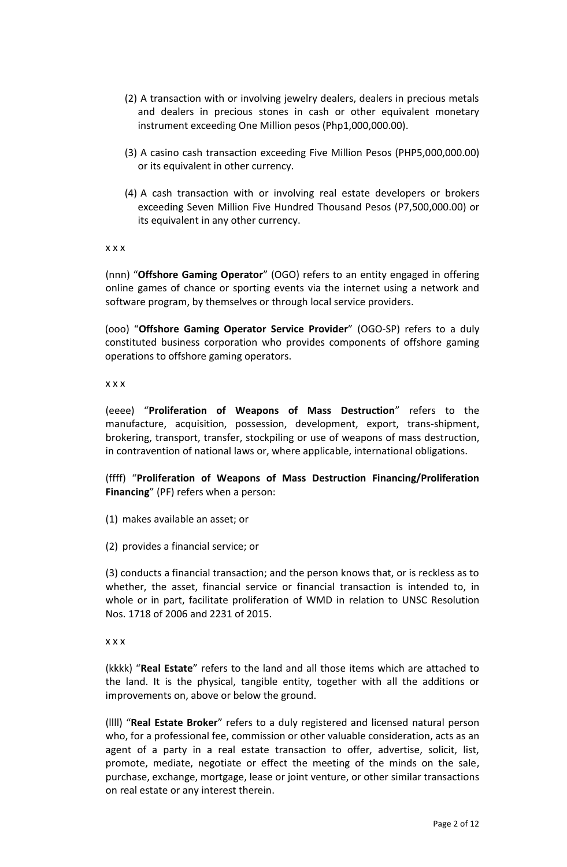- (2) A transaction with or involving jewelry dealers, dealers in precious metals and dealers in precious stones in cash or other equivalent monetary instrument exceeding One Million pesos (Php1,000,000.00).
- (3) A casino cash transaction exceeding Five Million Pesos (PHP5,000,000.00) or its equivalent in other currency.
- (4) A cash transaction with or involving real estate developers or brokers exceeding Seven Million Five Hundred Thousand Pesos (P7,500,000.00) or its equivalent in any other currency.

x x x

(nnn) "**Offshore Gaming Operator**" (OGO) refers to an entity engaged in offering online games of chance or sporting events via the internet using a network and software program, by themselves or through local service providers.

(ooo) "**Offshore Gaming Operator Service Provider**" (OGO-SP) refers to a duly constituted business corporation who provides components of offshore gaming operations to offshore gaming operators.

x x x

(eeee) "**Proliferation of Weapons of Mass Destruction**" refers to the manufacture, acquisition, possession, development, export, trans-shipment, brokering, transport, transfer, stockpiling or use of weapons of mass destruction, in contravention of national laws or, where applicable, international obligations.

(ffff) "**Proliferation of Weapons of Mass Destruction Financing/Proliferation Financing**" (PF) refers when a person:

- (1) makes available an asset; or
- (2) provides a financial service; or

(3) conducts a financial transaction; and the person knows that, or is reckless as to whether, the asset, financial service or financial transaction is intended to, in whole or in part, facilitate proliferation of WMD in relation to UNSC Resolution Nos. 1718 of 2006 and 2231 of 2015.

x x x

(kkkk) "**Real Estate**" refers to the land and all those items which are attached to the land. It is the physical, tangible entity, together with all the additions or improvements on, above or below the ground.

(llll) "**Real Estate Broker**" refers to a duly registered and licensed natural person who, for a professional fee, commission or other valuable consideration, acts as an agent of a party in a real estate transaction to offer, advertise, solicit, list, promote, mediate, negotiate or effect the meeting of the minds on the sale, purchase, exchange, mortgage, lease or joint venture, or other similar transactions on real estate or any interest therein.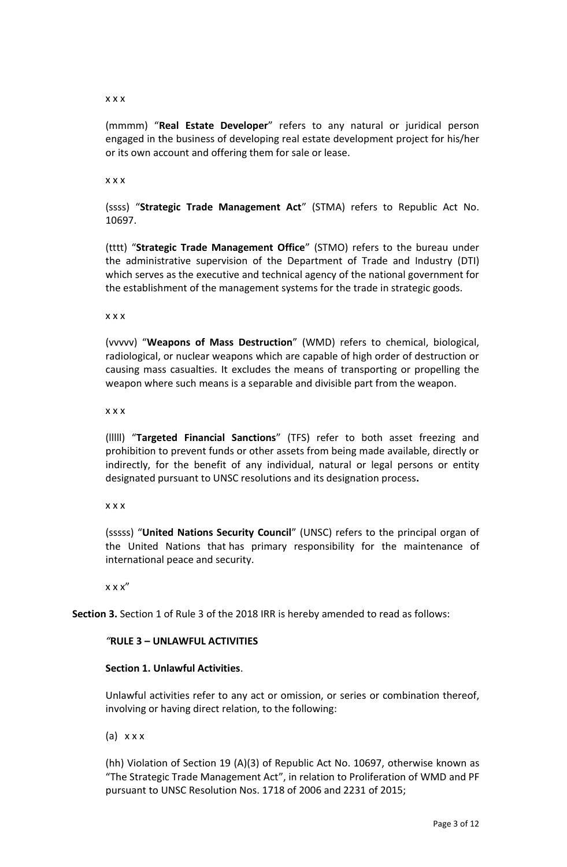#### x x x

(mmmm) "**Real Estate Developer**" refers to any natural or juridical person engaged in the business of developing real estate development project for his/her or its own account and offering them for sale or lease.

x x x

(ssss) "**Strategic Trade Management Act**" (STMA) refers to Republic Act No. 10697.

(tttt) "**Strategic Trade Management Office**" (STMO) refers to the bureau under the administrative supervision of the Department of Trade and Industry (DTI) which serves as the executive and technical agency of the national government for the establishment of the management systems for the trade in strategic goods.

x x x

(vvvvv) "**Weapons of Mass Destruction**" (WMD) refers to chemical, biological, radiological, or nuclear weapons which are capable of high order of destruction or causing mass casualties. It excludes the means of transporting or propelling the weapon where such means is a separable and divisible part from the weapon.

x x x

(lllll) "**Targeted Financial Sanctions**" (TFS) refer to both asset freezing and prohibition to prevent funds or other assets from being made available, directly or indirectly, for the benefit of any individual, natural or legal persons or entity designated pursuant to UNSC resolutions and its designation process**.**

x x x

(sssss) "**United Nations Security Council**" (UNSC) refers to the principal organ of the United Nations that has primary responsibility for the maintenance of international peace and security.

 $x x x''$ 

**Section 3.** Section 1 of Rule 3 of the 2018 IRR is hereby amended to read as follows:

#### *"***RULE 3 – UNLAWFUL ACTIVITIES**

#### **Section 1. Unlawful Activities**.

Unlawful activities refer to any act or omission, or series or combination thereof, involving or having direct relation, to the following:

(a)  $x \times x$ 

(hh) Violation of Section 19 (A)(3) of Republic Act No. 10697, otherwise known as "The Strategic Trade Management Act", in relation to Proliferation of WMD and PF pursuant to UNSC Resolution Nos. 1718 of 2006 and 2231 of 2015;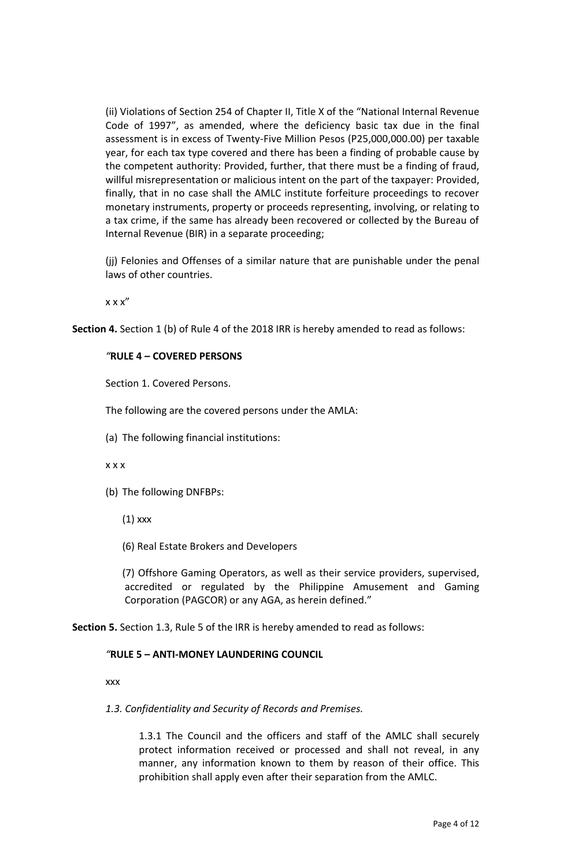(ii) Violations of Section 254 of Chapter II, Title X of the "National Internal Revenue Code of 1997", as amended, where the deficiency basic tax due in the final assessment is in excess of Twenty-Five Million Pesos (P25,000,000.00) per taxable year, for each tax type covered and there has been a finding of probable cause by the competent authority: Provided, further, that there must be a finding of fraud, willful misrepresentation or malicious intent on the part of the taxpayer: Provided, finally, that in no case shall the AMLC institute forfeiture proceedings to recover monetary instruments, property or proceeds representing, involving, or relating to a tax crime, if the same has already been recovered or collected by the Bureau of Internal Revenue (BIR) in a separate proceeding;

(jj) Felonies and Offenses of a similar nature that are punishable under the penal laws of other countries.

x x x"

**Section 4.** Section 1 (b) of Rule 4 of the 2018 IRR is hereby amended to read as follows:

#### *"***RULE 4 – COVERED PERSONS**

Section 1. Covered Persons.

The following are the covered persons under the AMLA:

(a) The following financial institutions:

x x x

(b) The following DNFBPs:

(1) xxx

(6) Real Estate Brokers and Developers

(7) Offshore Gaming Operators, as well as their service providers, supervised, accredited or regulated by the Philippine Amusement and Gaming Corporation (PAGCOR) or any AGA, as herein defined."

**Section 5.** Section 1.3, Rule 5 of the IRR is hereby amended to read as follows:

## *"***RULE 5 – ANTI-MONEY LAUNDERING COUNCIL**

xxx

#### *1.3. Confidentiality and Security of Records and Premises.*

1.3.1 The Council and the officers and staff of the AMLC shall securely protect information received or processed and shall not reveal, in any manner, any information known to them by reason of their office. This prohibition shall apply even after their separation from the AMLC.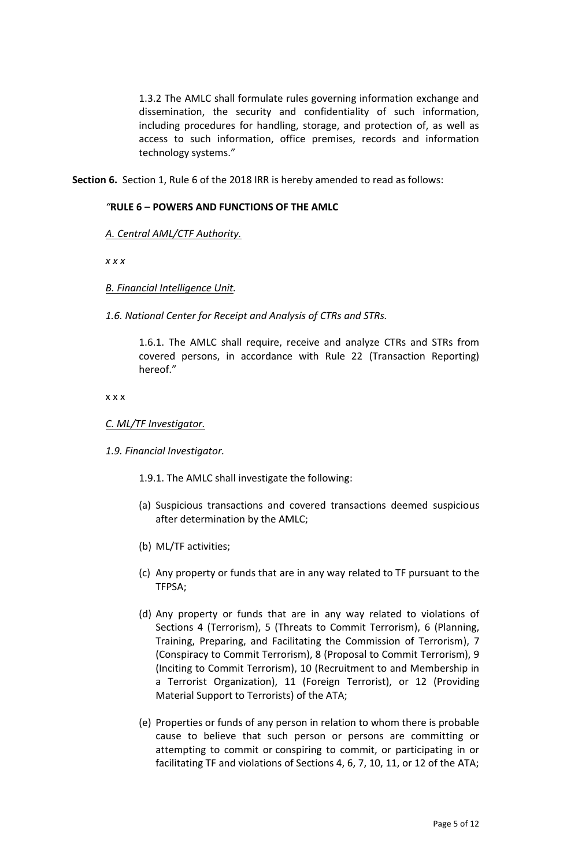1.3.2 The AMLC shall formulate rules governing information exchange and dissemination, the security and confidentiality of such information, including procedures for handling, storage, and protection of, as well as access to such information, office premises, records and information technology systems."

**Section 6.** Section 1, Rule 6 of the 2018 IRR is hereby amended to read as follows:

## *"***RULE 6 – POWERS AND FUNCTIONS OF THE AMLC**

## *A. Central AML/CTF Authority.*

*x x x*

## *B. Financial Intelligence Unit.*

*1.6. National Center for Receipt and Analysis of CTRs and STRs.*

1.6.1. The AMLC shall require, receive and analyze CTRs and STRs from covered persons, in accordance with Rule 22 (Transaction Reporting) hereof."

#### x x x

## *C. ML/TF Investigator.*

#### *1.9. Financial Investigator.*

1.9.1. The AMLC shall investigate the following:

- (a) Suspicious transactions and covered transactions deemed suspicious after determination by the AMLC;
- (b) ML/TF activities;
- (c) Any property or funds that are in any way related to TF pursuant to the TFPSA;
- (d) Any property or funds that are in any way related to violations of Sections 4 (Terrorism), 5 (Threats to Commit Terrorism), 6 (Planning, Training, Preparing, and Facilitating the Commission of Terrorism), 7 (Conspiracy to Commit Terrorism), 8 (Proposal to Commit Terrorism), 9 (Inciting to Commit Terrorism), 10 (Recruitment to and Membership in a Terrorist Organization), 11 (Foreign Terrorist), or 12 (Providing Material Support to Terrorists) of the ATA;
- (e) Properties or funds of any person in relation to whom there is probable cause to believe that such person or persons are committing or attempting to commit or conspiring to commit, or participating in or facilitating TF and violations of Sections 4, 6, 7, 10, 11, or 12 of the ATA;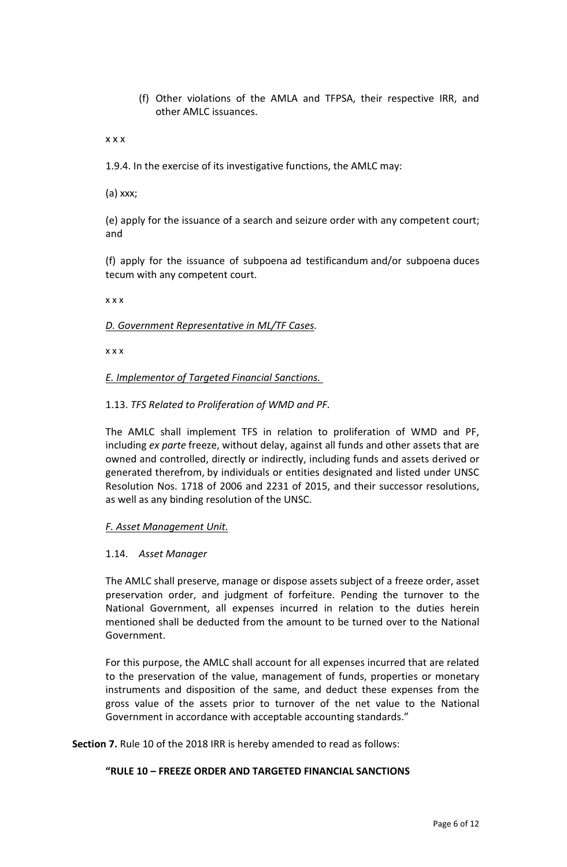(f) Other violations of the AMLA and TFPSA, their respective IRR, and other AMLC issuances.

x x x

1.9.4. In the exercise of its investigative functions, the AMLC may:

(a) xxx;

(e) apply for the issuance of a search and seizure order with any competent court; and

(f) apply for the issuance of subpoena ad testificandum and/or subpoena duces tecum with any competent court.

x x x

## *D. Government Representative in ML/TF Cases.*

x x x

*E. Implementor of Targeted Financial Sanctions.*

1.13. *TFS Related to Proliferation of WMD and PF.*

The AMLC shall implement TFS in relation to proliferation of WMD and PF, including *ex parte* freeze, without delay, against all funds and other assets that are owned and controlled, directly or indirectly, including funds and assets derived or generated therefrom, by individuals or entities designated and listed under UNSC Resolution Nos. 1718 of 2006 and 2231 of 2015, and their successor resolutions, as well as any binding resolution of the UNSC.

#### *F. Asset Management Unit.*

#### 1.14. *Asset Manager*

The AMLC shall preserve, manage or dispose assets subject of a freeze order, asset preservation order, and judgment of forfeiture. Pending the turnover to the National Government, all expenses incurred in relation to the duties herein mentioned shall be deducted from the amount to be turned over to the National Government.

For this purpose, the AMLC shall account for all expenses incurred that are related to the preservation of the value, management of funds, properties or monetary instruments and disposition of the same, and deduct these expenses from the gross value of the assets prior to turnover of the net value to the National Government in accordance with acceptable accounting standards."

**Section 7.** Rule 10 of the 2018 IRR is hereby amended to read as follows:

# **"RULE 10 – FREEZE ORDER AND TARGETED FINANCIAL SANCTIONS**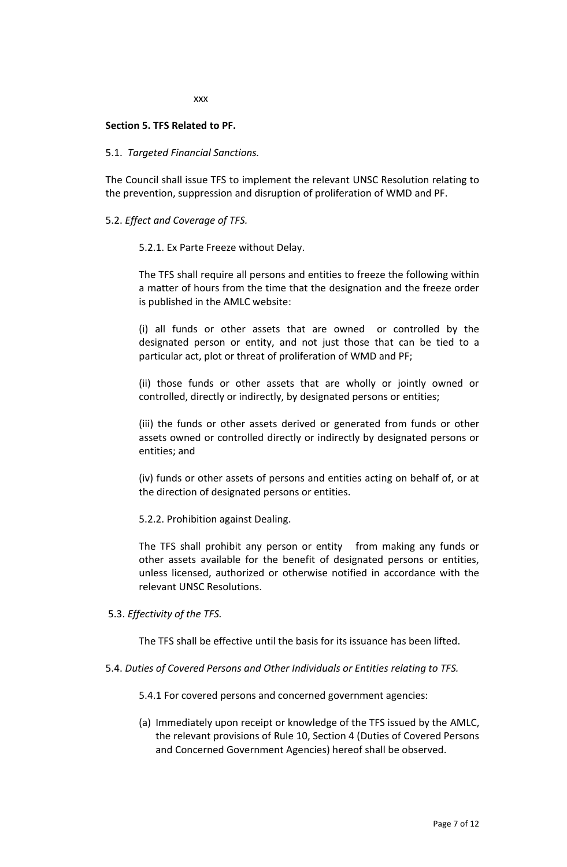xxx

## **Section 5. TFS Related to PF.**

## 5.1.  *Targeted Financial Sanctions.*

The Council shall issue TFS to implement the relevant UNSC Resolution relating to the prevention, suppression and disruption of proliferation of WMD and PF.

## 5.2. *Effect and Coverage of TFS.*

## 5.2.1. Ex Parte Freeze without Delay.

The TFS shall require all persons and entities to freeze the following within a matter of hours from the time that the designation and the freeze order is published in the AMLC website:

(i) all funds or other assets that are owned or controlled by the designated person or entity, and not just those that can be tied to a particular act, plot or threat of proliferation of WMD and PF;

(ii) those funds or other assets that are wholly or jointly owned or controlled, directly or indirectly, by designated persons or entities;

(iii) the funds or other assets derived or generated from funds or other assets owned or controlled directly or indirectly by designated persons or entities; and

(iv) funds or other assets of persons and entities acting on behalf of, or at the direction of designated persons or entities.

5.2.2. Prohibition against Dealing.

The TFS shall prohibit any person or entity from making any funds or other assets available for the benefit of designated persons or entities, unless licensed, authorized or otherwise notified in accordance with the relevant UNSC Resolutions.

#### 5.3. *Effectivity of the TFS.*

The TFS shall be effective until the basis for its issuance has been lifted.

5.4. *Duties of Covered Persons and Other Individuals or Entities relating to TFS.*

5.4.1 For covered persons and concerned government agencies:

(a) Immediately upon receipt or knowledge of the TFS issued by the AMLC, the relevant provisions of Rule 10, Section 4 (Duties of Covered Persons and Concerned Government Agencies) hereof shall be observed.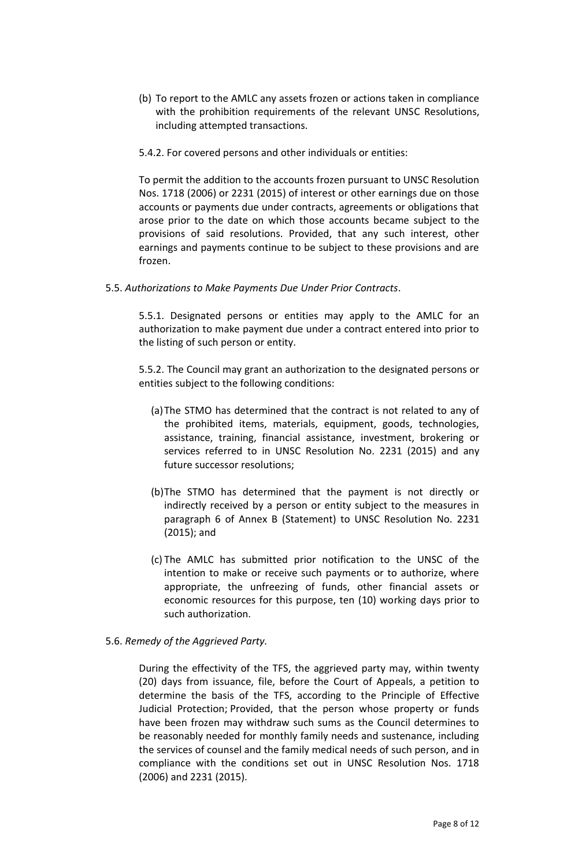- (b) To report to the AMLC any assets frozen or actions taken in compliance with the prohibition requirements of the relevant UNSC Resolutions, including attempted transactions.
- 5.4.2. For covered persons and other individuals or entities:

To permit the addition to the accounts frozen pursuant to UNSC Resolution Nos. 1718 (2006) or 2231 (2015) of interest or other earnings due on those accounts or payments due under contracts, agreements or obligations that arose prior to the date on which those accounts became subject to the provisions of said resolutions. Provided, that any such interest, other earnings and payments continue to be subject to these provisions and are frozen.

5.5. *Authorizations to Make Payments Due Under Prior Contracts*.

5.5.1. Designated persons or entities may apply to the AMLC for an authorization to make payment due under a contract entered into prior to the listing of such person or entity.

5.5.2. The Council may grant an authorization to the designated persons or entities subject to the following conditions:

- (a)The STMO has determined that the contract is not related to any of the prohibited items, materials, equipment, goods, technologies, assistance, training, financial assistance, investment, brokering or services referred to in UNSC Resolution No. 2231 (2015) and any future successor resolutions;
- (b)The STMO has determined that the payment is not directly or indirectly received by a person or entity subject to the measures in paragraph 6 of Annex B (Statement) to UNSC Resolution No. 2231 (2015); and
- (c) The AMLC has submitted prior notification to the UNSC of the intention to make or receive such payments or to authorize, where appropriate, the unfreezing of funds, other financial assets or economic resources for this purpose, ten (10) working days prior to such authorization.
- 5.6. *Remedy of the Aggrieved Party.*

During the effectivity of the TFS, the aggrieved party may, within twenty (20) days from issuance, file, before the Court of Appeals, a petition to determine the basis of the TFS, according to the Principle of Effective Judicial Protection; Provided, that the person whose property or funds have been frozen may withdraw such sums as the Council determines to be reasonably needed for monthly family needs and sustenance, including the services of counsel and the family medical needs of such person, and in compliance with the conditions set out in UNSC Resolution Nos. 1718 (2006) and 2231 (2015).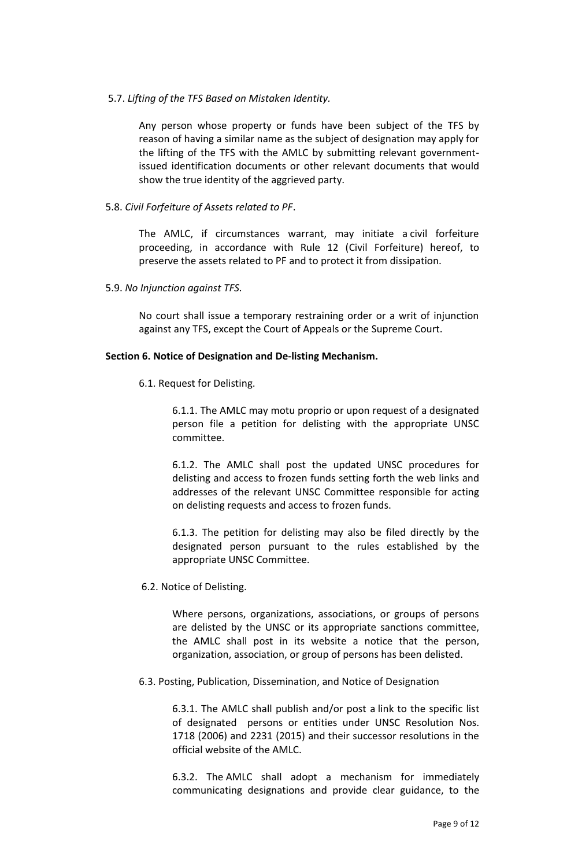# 5.7. *Lifting of the TFS Based on Mistaken Identity.*

Any person whose property or funds have been subject of the TFS by reason of having a similar name as the subject of designation may apply for the lifting of the TFS with the AMLC by submitting relevant governmentissued identification documents or other relevant documents that would show the true identity of the aggrieved party.

5.8. *Civil Forfeiture of Assets related to PF*. 

The AMLC, if circumstances warrant, may initiate a civil forfeiture proceeding, in accordance with Rule 12 (Civil Forfeiture) hereof, to preserve the assets related to PF and to protect it from dissipation. 

5.9. *No Injunction against TFS.*

No court shall issue a temporary restraining order or a writ of injunction against any TFS, except the Court of Appeals or the Supreme Court. 

## **Section 6. Notice of Designation and De-listing Mechanism.**

6.1. Request for Delisting.

6.1.1. The AMLC may motu proprio or upon request of a designated person file a petition for delisting with the appropriate UNSC committee.

6.1.2. The AMLC shall post the updated UNSC procedures for delisting and access to frozen funds setting forth the web links and addresses of the relevant UNSC Committee responsible for acting on delisting requests and access to frozen funds.

6.1.3. The petition for delisting may also be filed directly by the designated person pursuant to the rules established by the appropriate UNSC Committee.

6.2. Notice of Delisting.

Where persons, organizations, associations, or groups of persons are delisted by the UNSC or its appropriate sanctions committee, the AMLC shall post in its website a notice that the person, organization, association, or group of persons has been delisted.

6.3. Posting, Publication, Dissemination, and Notice of Designation

6.3.1. The AMLC shall publish and/or post a link to the specific list of designated persons or entities under UNSC Resolution Nos. 1718 (2006) and 2231 (2015) and their successor resolutions in the official website of the AMLC.

6.3.2. The AMLC shall adopt a mechanism for immediately communicating designations and provide clear guidance, to the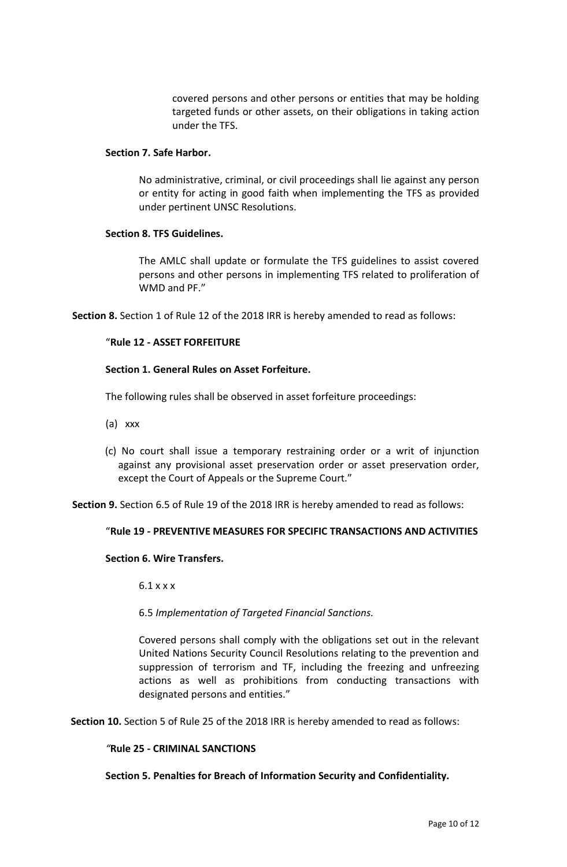covered persons and other persons or entities that may be holding targeted funds or other assets, on their obligations in taking action under the TFS. 

### **Section 7. Safe Harbor.**

No administrative, criminal, or civil proceedings shall lie against any person or entity for acting in good faith when implementing the TFS as provided under pertinent UNSC Resolutions.

## **Section 8. TFS Guidelines.**

The AMLC shall update or formulate the TFS guidelines to assist covered persons and other persons in implementing TFS related to proliferation of WMD and PF."

**Section 8.** Section 1 of Rule 12 of the 2018 IRR is hereby amended to read as follows:

# "**Rule 12 - ASSET FORFEITURE**

## **Section 1. General Rules on Asset Forfeiture.**

The following rules shall be observed in asset forfeiture proceedings:

- (a) xxx
- (c) No court shall issue a temporary restraining order or a writ of injunction against any provisional asset preservation order or asset preservation order, except the Court of Appeals or the Supreme Court."

**Section 9.** Section 6.5 of Rule 19 of the 2018 IRR is hereby amended to read as follows:

# "**Rule 19** *-* **PREVENTIVE MEASURES FOR SPECIFIC TRANSACTIONS AND ACTIVITIES**

### **Section 6. Wire Transfers.**

 $6.1$  x x x

6.5 *Implementation of Targeted Financial Sanctions.*

Covered persons shall comply with the obligations set out in the relevant United Nations Security Council Resolutions relating to the prevention and suppression of terrorism and TF, including the freezing and unfreezing actions as well as prohibitions from conducting transactions with designated persons and entities."

**Section 10.** Section 5 of Rule 25 of the 2018 IRR is hereby amended to read as follows:

#### *"***Rule 25 - CRIMINAL SANCTIONS**

**Section 5. Penalties for Breach of Information Security and Confidentiality.**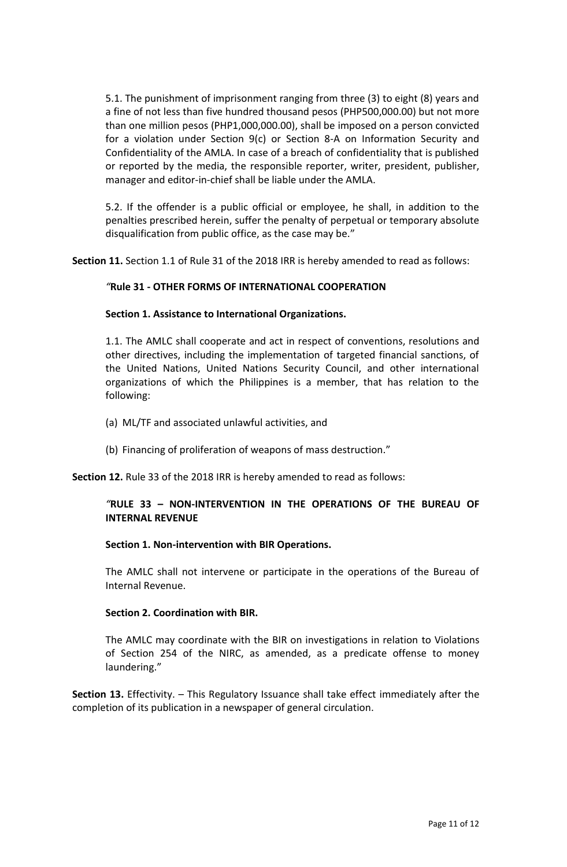5.1. The punishment of imprisonment ranging from three (3) to eight (8) years and a fine of not less than five hundred thousand pesos (PHP500,000.00) but not more than one million pesos (PHP1,000,000.00), shall be imposed on a person convicted for a violation under Section 9(c) or Section 8-A on Information Security and Confidentiality of the AMLA. In case of a breach of confidentiality that is published or reported by the media, the responsible reporter, writer, president, publisher, manager and editor-in-chief shall be liable under the AMLA.

5.2. If the offender is a public official or employee, he shall, in addition to the penalties prescribed herein, suffer the penalty of perpetual or temporary absolute disqualification from public office, as the case may be."

**Section 11.** Section 1.1 of Rule 31 of the 2018 IRR is hereby amended to read as follows:

## *"***Rule 31 - OTHER FORMS OF INTERNATIONAL COOPERATION**

## **Section 1. Assistance to International Organizations.**

1.1. The AMLC shall cooperate and act in respect of conventions, resolutions and other directives, including the implementation of targeted financial sanctions, of the United Nations, United Nations Security Council, and other international organizations of which the Philippines is a member, that has relation to the following:

- (a) ML/TF and associated unlawful activities, and
- (b) Financing of proliferation of weapons of mass destruction."

**Section 12.** Rule 33 of the 2018 IRR is hereby amended to read as follows:

## *"***RULE 33 – NON-INTERVENTION IN THE OPERATIONS OF THE BUREAU OF INTERNAL REVENUE**

#### **Section 1. Non-intervention with BIR Operations.**

The AMLC shall not intervene or participate in the operations of the Bureau of Internal Revenue.

#### **Section 2. Coordination with BIR.**

The AMLC may coordinate with the BIR on investigations in relation to Violations of Section 254 of the NIRC, as amended, as a predicate offense to money laundering."

**Section 13.** Effectivity. – This Regulatory Issuance shall take effect immediately after the completion of its publication in a newspaper of general circulation.